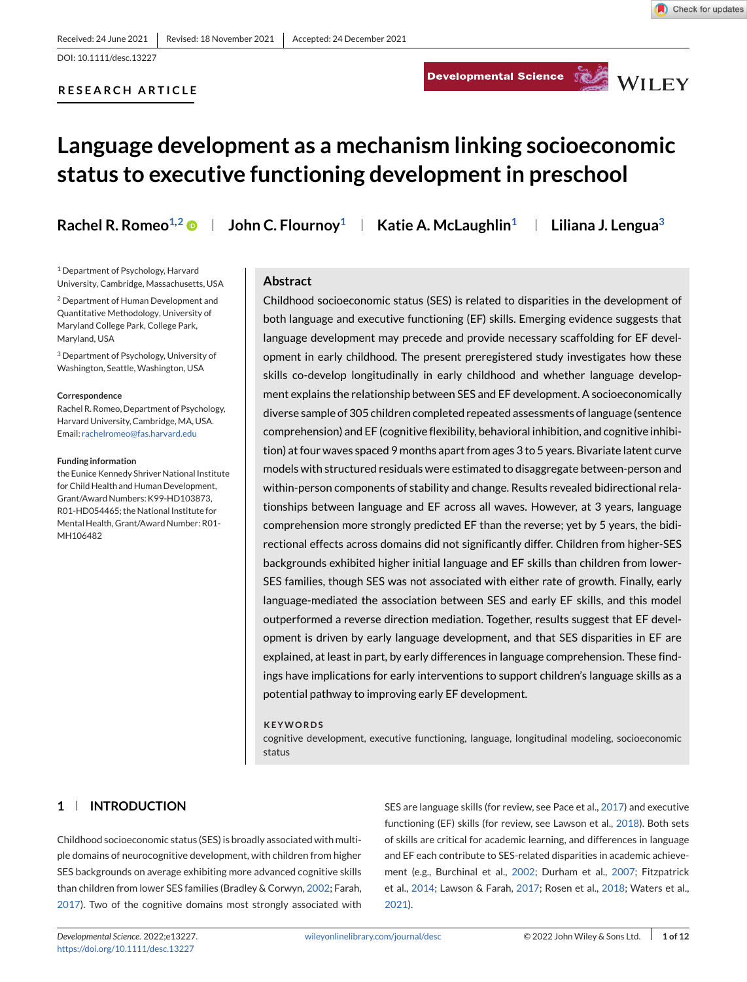Developmental Science Service WILEY

# **Language development as a mechanism linking socioeconomic status to executive functioning development in preschool**

**RESEARCH ARTICLE**

**Rachel R. Romeo<sup>1,2</sup>**  $\bullet$  **| John C. Flournoy<sup>1</sup> | Katie A. McLaughlin<sup>1</sup> | Liliana J. Lengua<sup>3</sup>** 

<sup>1</sup> Department of Psychology, Harvard University, Cambridge, Massachusetts, USA

<sup>2</sup> Department of Human Development and Quantitative Methodology, University of Maryland College Park, College Park, Maryland, USA

<sup>3</sup> Department of Psychology, University of Washington, Seattle, Washington, USA

#### **Correspondence**

Rachel R. Romeo, Department of Psychology, Harvard University, Cambridge, MA, USA. Email: [rachelromeo@fas.harvard.edu](mailto:rachelromeo@fas.harvard.edu)

#### **Funding information**

the Eunice Kennedy Shriver National Institute for Child Health and Human Development, Grant/Award Numbers: K99-HD103873, R01-HD054465; the National Institute for Mental Health, Grant/Award Number: R01- MH106482

#### **Abstract**

Childhood socioeconomic status (SES) is related to disparities in the development of both language and executive functioning (EF) skills. Emerging evidence suggests that language development may precede and provide necessary scaffolding for EF development in early childhood. The present preregistered study investigates how these skills co-develop longitudinally in early childhood and whether language development explains the relationship between SES and EF development. A socioeconomically diverse sample of 305 children completed repeated assessments of language (sentence comprehension) and EF (cognitive flexibility, behavioral inhibition, and cognitive inhibition) at four waves spaced 9 months apart from ages 3 to 5 years. Bivariate latent curve models with structured residuals were estimated to disaggregate between-person and within-person components of stability and change. Results revealed bidirectional relationships between language and EF across all waves. However, at 3 years, language comprehension more strongly predicted EF than the reverse; yet by 5 years, the bidirectional effects across domains did not significantly differ. Children from higher-SES backgrounds exhibited higher initial language and EF skills than children from lower-SES families, though SES was not associated with either rate of growth. Finally, early language-mediated the association between SES and early EF skills, and this model outperformed a reverse direction mediation. Together, results suggest that EF development is driven by early language development, and that SES disparities in EF are explained, at least in part, by early differences in language comprehension. These findings have implications for early interventions to support children's language skills as a potential pathway to improving early EF development.

#### **KEYWORDS**

cognitive development, executive functioning, language, longitudinal modeling, socioeconomic status

# **1 INTRODUCTION**

Childhood socioeconomic status (SES) is broadly associated with multiple domains of neurocognitive development, with children from higher SES backgrounds on average exhibiting more advanced cognitive skills than children from lower SES families (Bradley & Corwyn, [2002;](#page-9-0) Farah, [2017\)](#page-10-0). Two of the cognitive domains most strongly associated with SES are language skills (for review, see Pace et al., [2017\)](#page-11-0) and executive functioning (EF) skills (for review, see Lawson et al., [2018\)](#page-10-0). Both sets of skills are critical for academic learning, and differences in language and EF each contribute to SES-related disparities in academic achievement (e.g., Burchinal et al., [2002;](#page-9-0) Durham et al., [2007;](#page-10-0) Fitzpatrick et al., [2014;](#page-10-0) Lawson & Farah, [2017;](#page-10-0) Rosen et al., [2018;](#page-11-0) Waters et al., [2021\)](#page-11-0).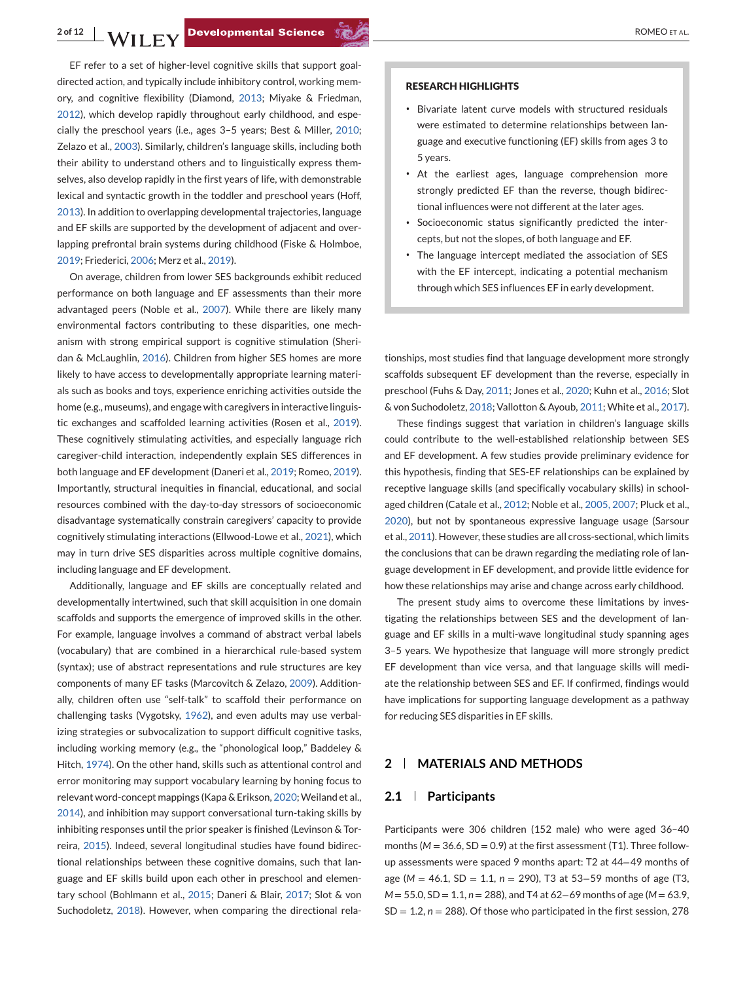EF refer to a set of higher-level cognitive skills that support goaldirected action, and typically include inhibitory control, working memory, and cognitive flexibility (Diamond, [2013;](#page-9-0) Miyake & Friedman, [2012\)](#page-10-0), which develop rapidly throughout early childhood, and especially the preschool years (i.e., ages 3–5 years; Best & Miller, [2010;](#page-9-0) Zelazo et al., [2003\)](#page-11-0). Similarly, children's language skills, including both their ability to understand others and to linguistically express themselves, also develop rapidly in the first years of life, with demonstrable lexical and syntactic growth in the toddler and preschool years (Hoff, [2013\)](#page-10-0). In addition to overlapping developmental trajectories, language and EF skills are supported by the development of adjacent and overlapping prefrontal brain systems during childhood (Fiske & Holmboe, [2019;](#page-10-0) Friederici, [2006;](#page-10-0) Merz et al., [2019\)](#page-10-0).

On average, children from lower SES backgrounds exhibit reduced performance on both language and EF assessments than their more advantaged peers (Noble et al., [2007\)](#page-11-0). While there are likely many environmental factors contributing to these disparities, one mechanism with strong empirical support is cognitive stimulation (Sheridan & McLaughlin, [2016\)](#page-11-0). Children from higher SES homes are more likely to have access to developmentally appropriate learning materials such as books and toys, experience enriching activities outside the home (e.g., museums), and engage with caregivers in interactive linguistic exchanges and scaffolded learning activities (Rosen et al., [2019\)](#page-11-0). These cognitively stimulating activities, and especially language rich caregiver-child interaction, independently explain SES differences in both language and EF development (Daneri et al., [2019;](#page-9-0) Romeo, [2019\)](#page-11-0). Importantly, structural inequities in financial, educational, and social resources combined with the day-to-day stressors of socioeconomic disadvantage systematically constrain caregivers' capacity to provide cognitively stimulating interactions (Ellwood-Lowe et al., [2021\)](#page-10-0), which may in turn drive SES disparities across multiple cognitive domains, including language and EF development.

Additionally, language and EF skills are conceptually related and developmentally intertwined, such that skill acquisition in one domain scaffolds and supports the emergence of improved skills in the other. For example, language involves a command of abstract verbal labels (vocabulary) that are combined in a hierarchical rule-based system (syntax); use of abstract representations and rule structures are key components of many EF tasks (Marcovitch & Zelazo, [2009\)](#page-10-0). Additionally, children often use "self-talk" to scaffold their performance on challenging tasks (Vygotsky, [1962\)](#page-11-0), and even adults may use verbalizing strategies or subvocalization to support difficult cognitive tasks, including working memory (e.g., the "phonological loop," Baddeley & Hitch, [1974\)](#page-9-0). On the other hand, skills such as attentional control and error monitoring may support vocabulary learning by honing focus to relevant word-concept mappings (Kapa & Erikson, [2020;](#page-10-0) Weiland et al., [2014\)](#page-11-0), and inhibition may support conversational turn-taking skills by inhibiting responses until the prior speaker is finished (Levinson & Torreira, [2015\)](#page-10-0). Indeed, several longitudinal studies have found bidirectional relationships between these cognitive domains, such that language and EF skills build upon each other in preschool and elementary school (Bohlmann et al., [2015;](#page-9-0) Daneri & Blair, [2017;](#page-9-0) Slot & von Suchodoletz, [2018\)](#page-11-0). However, when comparing the directional rela-

#### **RESEARCH HIGHLIGHTS**

- ∙ Bivariate latent curve models with structured residuals were estimated to determine relationships between language and executive functioning (EF) skills from ages 3 to 5 years.
- ∙ At the earliest ages, language comprehension more strongly predicted EF than the reverse, though bidirectional influences were not different at the later ages.
- ∙ Socioeconomic status significantly predicted the intercepts, but not the slopes, of both language and EF.
- ∙ The language intercept mediated the association of SES with the EF intercept, indicating a potential mechanism through which SES influences EF in early development.

tionships, most studies find that language development more strongly scaffolds subsequent EF development than the reverse, especially in preschool (Fuhs & Day, [2011;](#page-10-0) Jones et al., [2020;](#page-10-0) Kuhn et al., [2016;](#page-10-0) Slot & von Suchodoletz, [2018;](#page-11-0) Vallotton & Ayoub, [2011;](#page-11-0) White et al., [2017\)](#page-11-0).

These findings suggest that variation in children's language skills could contribute to the well-established relationship between SES and EF development. A few studies provide preliminary evidence for this hypothesis, finding that SES-EF relationships can be explained by receptive language skills (and specifically vocabulary skills) in schoolaged children (Catale et al., [2012;](#page-9-0) Noble et al., [2005, 2007;](#page-11-0) Pluck et al., [2020\)](#page-11-0), but not by spontaneous expressive language usage (Sarsour et al., [2011\)](#page-11-0). However, these studies are all cross-sectional, which limits the conclusions that can be drawn regarding the mediating role of language development in EF development, and provide little evidence for how these relationships may arise and change across early childhood.

The present study aims to overcome these limitations by investigating the relationships between SES and the development of language and EF skills in a multi-wave longitudinal study spanning ages 3–5 years. We hypothesize that language will more strongly predict EF development than vice versa, and that language skills will mediate the relationship between SES and EF. If confirmed, findings would have implications for supporting language development as a pathway for reducing SES disparities in EF skills.

## **2 MATERIALS AND METHODS**

### **2.1 Participants**

Participants were 306 children (152 male) who were aged 36–40 months ( $M = 36.6$ ,  $SD = 0.9$ ) at the first assessment (T1). Three followup assessments were spaced 9 months apart: T2 at 44−49 months of age (*M* = 46.1, SD = 1.1, *n* = 290), T3 at 53−59 months of age (T3, *M* = 55.0, *SD* = 1.1, *n* = 288), and T4 at 62–69 months of age (*M* = 63.9,  $SD = 1.2$ ,  $n = 288$ ). Of those who participated in the first session, 278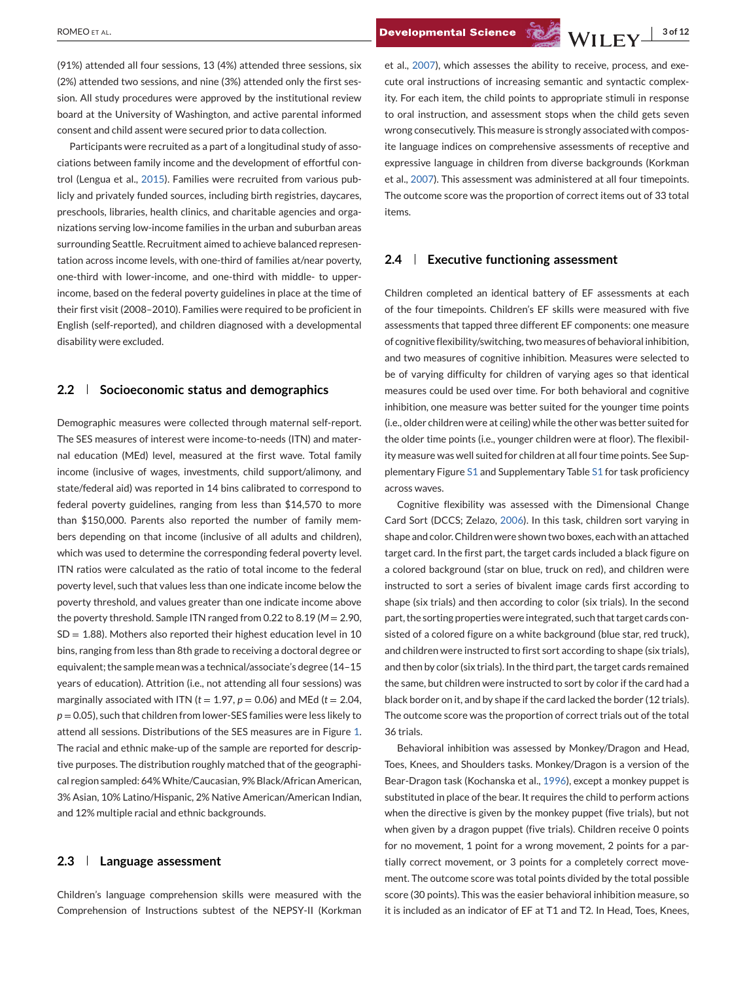ROMEO ET AL. **3 of 12**<br>**Developmental Science**  $\sqrt[3]{\mathbf{W}}$  **| FV**  $\frac{3 \cdot 6 \cdot 12}{3 \cdot 6 \cdot 12}$ 

(91%) attended all four sessions, 13 (4%) attended three sessions, six (2%) attended two sessions, and nine (3%) attended only the first session. All study procedures were approved by the institutional review board at the University of Washington, and active parental informed consent and child assent were secured prior to data collection.

Participants were recruited as a part of a longitudinal study of associations between family income and the development of effortful control (Lengua et al., [2015\)](#page-10-0). Families were recruited from various publicly and privately funded sources, including birth registries, daycares, preschools, libraries, health clinics, and charitable agencies and organizations serving low-income families in the urban and suburban areas surrounding Seattle. Recruitment aimed to achieve balanced representation across income levels, with one-third of families at/near poverty, one-third with lower-income, and one-third with middle- to upperincome, based on the federal poverty guidelines in place at the time of their first visit (2008–2010). Families were required to be proficient in English (self-reported), and children diagnosed with a developmental disability were excluded.

# **2.2 Socioeconomic status and demographics**

Demographic measures were collected through maternal self-report. The SES measures of interest were income-to-needs (ITN) and maternal education (MEd) level, measured at the first wave. Total family income (inclusive of wages, investments, child support/alimony, and state/federal aid) was reported in 14 bins calibrated to correspond to federal poverty guidelines, ranging from less than \$14,570 to more than \$150,000. Parents also reported the number of family members depending on that income (inclusive of all adults and children), which was used to determine the corresponding federal poverty level. ITN ratios were calculated as the ratio of total income to the federal poverty level, such that values less than one indicate income below the poverty threshold, and values greater than one indicate income above the poverty threshold. Sample ITN ranged from 0.22 to 8.19 (*M* = 2.90,  $SD = 1.88$ ). Mothers also reported their highest education level in 10 bins, ranging from less than 8th grade to receiving a doctoral degree or equivalent; the sample mean was a technical/associate's degree (14–15 years of education). Attrition (i.e., not attending all four sessions) was marginally associated with ITN ( $t = 1.97$ ,  $p = 0.06$ ) and MEd ( $t = 2.04$ , *p* = 0.05), such that children from lower-SES families were less likely to attend all sessions. Distributions of the SES measures are in Figure [1.](#page-3-0) The racial and ethnic make-up of the sample are reported for descriptive purposes. The distribution roughly matched that of the geographical region sampled: 64%White/Caucasian, 9% Black/African American, 3% Asian, 10% Latino/Hispanic, 2% Native American/American Indian, and 12% multiple racial and ethnic backgrounds.

## **2.3 Language assessment**

Children's language comprehension skills were measured with the Comprehension of Instructions subtest of the NEPSY-II (Korkman et al., [2007\)](#page-10-0), which assesses the ability to receive, process, and execute oral instructions of increasing semantic and syntactic complexity. For each item, the child points to appropriate stimuli in response to oral instruction, and assessment stops when the child gets seven wrong consecutively. This measure is strongly associated with composite language indices on comprehensive assessments of receptive and expressive language in children from diverse backgrounds (Korkman et al., [2007\)](#page-10-0). This assessment was administered at all four timepoints. The outcome score was the proportion of correct items out of 33 total items.

## **2.4 Executive functioning assessment**

Children completed an identical battery of EF assessments at each of the four timepoints. Children's EF skills were measured with five assessments that tapped three different EF components: one measure of cognitive flexibility/switching, two measures of behavioral inhibition, and two measures of cognitive inhibition. Measures were selected to be of varying difficulty for children of varying ages so that identical measures could be used over time. For both behavioral and cognitive inhibition, one measure was better suited for the younger time points (i.e., older children were at ceiling) while the other was better suited for the older time points (i.e., younger children were at floor). The flexibility measure was well suited for children at all four time points. See Supplementary Figure S1 and Supplementary Table S1 for task proficiency across waves.

Cognitive flexibility was assessed with the Dimensional Change Card Sort (DCCS; Zelazo, [2006\)](#page-11-0). In this task, children sort varying in shape and color. Children were shown two boxes, each with an attached target card. In the first part, the target cards included a black figure on a colored background (star on blue, truck on red), and children were instructed to sort a series of bivalent image cards first according to shape (six trials) and then according to color (six trials). In the second part, the sorting properties were integrated, such that target cards consisted of a colored figure on a white background (blue star, red truck), and children were instructed to first sort according to shape (six trials), and then by color (six trials). In the third part, the target cards remained the same, but children were instructed to sort by color if the card had a black border on it, and by shape if the card lacked the border (12 trials). The outcome score was the proportion of correct trials out of the total 36 trials.

Behavioral inhibition was assessed by Monkey/Dragon and Head, Toes, Knees, and Shoulders tasks. Monkey/Dragon is a version of the Bear-Dragon task (Kochanska et al., [1996\)](#page-10-0), except a monkey puppet is substituted in place of the bear. It requires the child to perform actions when the directive is given by the monkey puppet (five trials), but not when given by a dragon puppet (five trials). Children receive 0 points for no movement, 1 point for a wrong movement, 2 points for a partially correct movement, or 3 points for a completely correct movement. The outcome score was total points divided by the total possible score (30 points). This was the easier behavioral inhibition measure, so it is included as an indicator of EF at T1 and T2. In Head, Toes, Knees,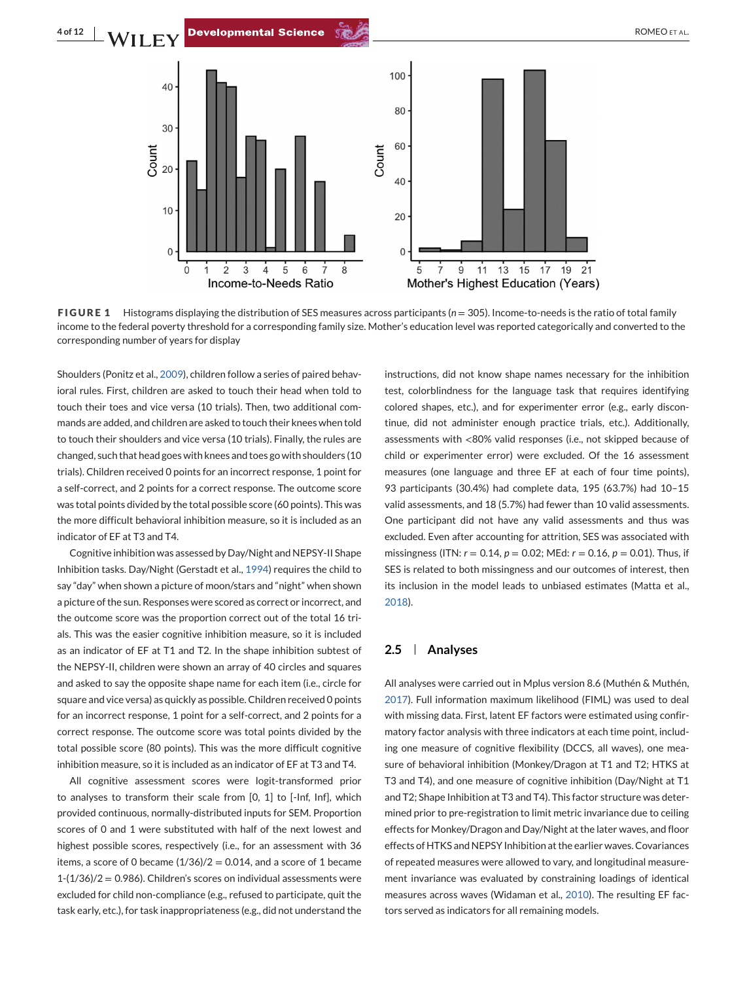<span id="page-3-0"></span>



**FIGURE 1** Histograms displaying the distribution of SES measures across participants (*n* = 305). Income-to-needs is the ratio of total family income to the federal poverty threshold for a corresponding family size. Mother's education level was reported categorically and converted to the corresponding number of years for display

Shoulders (Ponitz et al., [2009\)](#page-11-0), children follow a series of paired behavioral rules. First, children are asked to touch their head when told to touch their toes and vice versa (10 trials). Then, two additional commands are added, and children are asked to touch their knees when told to touch their shoulders and vice versa (10 trials). Finally, the rules are changed, such that head goes with knees and toes go with shoulders (10 trials). Children received 0 points for an incorrect response, 1 point for a self-correct, and 2 points for a correct response. The outcome score was total points divided by the total possible score (60 points). This was the more difficult behavioral inhibition measure, so it is included as an indicator of EF at T3 and T4.

Cognitive inhibition was assessed by Day/Night and NEPSY-II Shape Inhibition tasks. Day/Night (Gerstadt et al., [1994\)](#page-10-0) requires the child to say "day" when shown a picture of moon/stars and "night" when shown a picture of the sun. Responses were scored as correct or incorrect, and the outcome score was the proportion correct out of the total 16 trials. This was the easier cognitive inhibition measure, so it is included as an indicator of EF at T1 and T2. In the shape inhibition subtest of the NEPSY-II, children were shown an array of 40 circles and squares and asked to say the opposite shape name for each item (i.e., circle for square and vice versa) as quickly as possible. Children received 0 points for an incorrect response, 1 point for a self-correct, and 2 points for a correct response. The outcome score was total points divided by the total possible score (80 points). This was the more difficult cognitive inhibition measure, so it is included as an indicator of EF at T3 and T4.

All cognitive assessment scores were logit-transformed prior to analyses to transform their scale from [0, 1] to [-Inf, Inf], which provided continuous, normally-distributed inputs for SEM. Proportion scores of 0 and 1 were substituted with half of the next lowest and highest possible scores, respectively (i.e., for an assessment with 36 items, a score of 0 became  $(1/36)/2 = 0.014$ , and a score of 1 became  $1-(1/36)/2 = 0.986$ ). Children's scores on individual assessments were excluded for child non-compliance (e.g., refused to participate, quit the task early, etc.), for task inappropriateness (e.g., did not understand the

instructions, did not know shape names necessary for the inhibition test, colorblindness for the language task that requires identifying colored shapes, etc.), and for experimenter error (e.g., early discontinue, did not administer enough practice trials, etc.). Additionally, assessments with <80% valid responses (i.e., not skipped because of child or experimenter error) were excluded. Of the 16 assessment measures (one language and three EF at each of four time points), 93 participants (30.4%) had complete data, 195 (63.7%) had 10–15 valid assessments, and 18 (5.7%) had fewer than 10 valid assessments. One participant did not have any valid assessments and thus was excluded. Even after accounting for attrition, SES was associated with missingness (ITN: *r* = 0.14, *p* = 0.02; MEd: *r* = 0.16, *p* = 0.01). Thus, if SES is related to both missingness and our outcomes of interest, then its inclusion in the model leads to unbiased estimates (Matta et al., [2018\)](#page-10-0).

### **2.5 Analyses**

All analyses were carried out in Mplus version 8.6 (Muthén & Muthén, [2017\)](#page-10-0). Full information maximum likelihood (FIML) was used to deal with missing data. First, latent EF factors were estimated using confirmatory factor analysis with three indicators at each time point, including one measure of cognitive flexibility (DCCS, all waves), one measure of behavioral inhibition (Monkey/Dragon at T1 and T2; HTKS at T3 and T4), and one measure of cognitive inhibition (Day/Night at T1 and T2; Shape Inhibition at T3 and T4). This factor structure was determined prior to pre-registration to limit metric invariance due to ceiling effects for Monkey/Dragon and Day/Night at the later waves, and floor effects of HTKS and NEPSY Inhibition at the earlier waves. Covariances of repeated measures were allowed to vary, and longitudinal measurement invariance was evaluated by constraining loadings of identical measures across waves (Widaman et al., [2010\)](#page-11-0). The resulting EF factors served as indicators for all remaining models.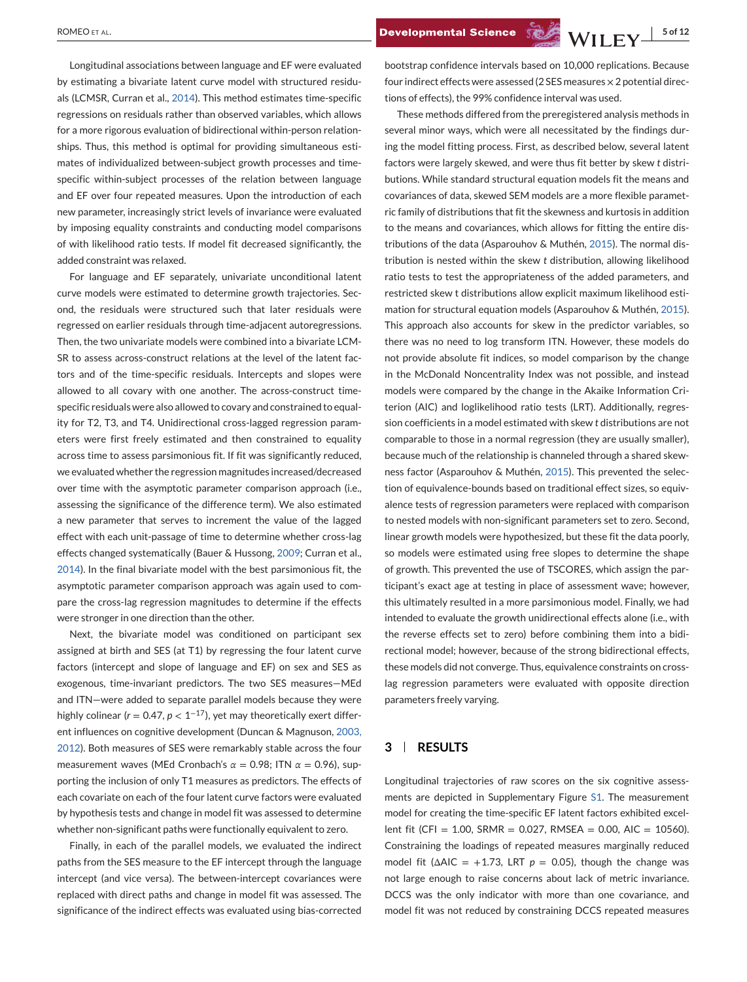Longitudinal associations between language and EF were evaluated by estimating a bivariate latent curve model with structured residuals (LCMSR, Curran et al., [2014\)](#page-9-0). This method estimates time-specific regressions on residuals rather than observed variables, which allows for a more rigorous evaluation of bidirectional within-person relationships. Thus, this method is optimal for providing simultaneous estimates of individualized between-subject growth processes and timespecific within-subject processes of the relation between language and EF over four repeated measures. Upon the introduction of each new parameter, increasingly strict levels of invariance were evaluated by imposing equality constraints and conducting model comparisons of with likelihood ratio tests. If model fit decreased significantly, the added constraint was relaxed.

For language and EF separately, univariate unconditional latent curve models were estimated to determine growth trajectories. Second, the residuals were structured such that later residuals were regressed on earlier residuals through time-adjacent autoregressions. Then, the two univariate models were combined into a bivariate LCM-SR to assess across-construct relations at the level of the latent factors and of the time-specific residuals. Intercepts and slopes were allowed to all covary with one another. The across-construct timespecific residuals were also allowed to covary and constrained to equality for T2, T3, and T4. Unidirectional cross-lagged regression parameters were first freely estimated and then constrained to equality across time to assess parsimonious fit. If fit was significantly reduced, we evaluated whether the regression magnitudes increased/decreased over time with the asymptotic parameter comparison approach (i.e., assessing the significance of the difference term). We also estimated a new parameter that serves to increment the value of the lagged effect with each unit-passage of time to determine whether cross-lag effects changed systematically (Bauer & Hussong, [2009;](#page-9-0) Curran et al., [2014\)](#page-9-0). In the final bivariate model with the best parsimonious fit, the asymptotic parameter comparison approach was again used to compare the cross-lag regression magnitudes to determine if the effects were stronger in one direction than the other.

Next, the bivariate model was conditioned on participant sex assigned at birth and SES (at T1) by regressing the four latent curve factors (intercept and slope of language and EF) on sex and SES as exogenous, time-invariant predictors. The two SES measures—MEd and ITN—were added to separate parallel models because they were highly colinear ( $r = 0.47$ ,  $p < 1^{-17}$ ), yet may theoretically exert different influences on cognitive development (Duncan & Magnuson, [2003,](#page-10-0) [2012\)](#page-10-0). Both measures of SES were remarkably stable across the four measurement waves (MEd Cronbach's *α* = 0.98; ITN *α* = 0.96), supporting the inclusion of only T1 measures as predictors. The effects of each covariate on each of the four latent curve factors were evaluated by hypothesis tests and change in model fit was assessed to determine whether non-significant paths were functionally equivalent to zero.

Finally, in each of the parallel models, we evaluated the indirect paths from the SES measure to the EF intercept through the language intercept (and vice versa). The between-intercept covariances were replaced with direct paths and change in model fit was assessed. The significance of the indirect effects was evaluated using bias-corrected

bootstrap confidence intervals based on 10,000 replications. Because four indirect effects were assessed (2 SES measures×2 potential directions of effects), the 99% confidence interval was used.

These methods differed from the preregistered analysis methods in several minor ways, which were all necessitated by the findings during the model fitting process. First, as described below, several latent factors were largely skewed, and were thus fit better by skew *t* distributions. While standard structural equation models fit the means and covariances of data, skewed SEM models are a more flexible parametric family of distributions that fit the skewness and kurtosis in addition to the means and covariances, which allows for fitting the entire distributions of the data (Asparouhov & Muthén, [2015\)](#page-9-0). The normal distribution is nested within the skew *t* distribution, allowing likelihood ratio tests to test the appropriateness of the added parameters, and restricted skew t distributions allow explicit maximum likelihood estimation for structural equation models (Asparouhov & Muthén, [2015\)](#page-9-0). This approach also accounts for skew in the predictor variables, so there was no need to log transform ITN. However, these models do not provide absolute fit indices, so model comparison by the change in the McDonald Noncentrality Index was not possible, and instead models were compared by the change in the Akaike Information Criterion (AIC) and loglikelihood ratio tests (LRT). Additionally, regression coefficients in a model estimated with skew *t* distributions are not comparable to those in a normal regression (they are usually smaller), because much of the relationship is channeled through a shared skewness factor (Asparouhov & Muthén, [2015\)](#page-9-0). This prevented the selection of equivalence-bounds based on traditional effect sizes, so equivalence tests of regression parameters were replaced with comparison to nested models with non-significant parameters set to zero. Second, linear growth models were hypothesized, but these fit the data poorly, so models were estimated using free slopes to determine the shape of growth. This prevented the use of TSCORES, which assign the participant's exact age at testing in place of assessment wave; however, this ultimately resulted in a more parsimonious model. Finally, we had intended to evaluate the growth unidirectional effects alone (i.e., with the reverse effects set to zero) before combining them into a bidirectional model; however, because of the strong bidirectional effects, these models did not converge. Thus, equivalence constraints on crosslag regression parameters were evaluated with opposite direction parameters freely varying.

## **3 RESULTS**

Longitudinal trajectories of raw scores on the six cognitive assessments are depicted in Supplementary Figure S1. The measurement model for creating the time-specific EF latent factors exhibited excellent fit (CFI = 1.00, SRMR = 0.027, RMSEA = 0.00, AIC = 10560). Constraining the loadings of repeated measures marginally reduced model fit ( $\triangle$ AIC = +1.73, LRT  $p = 0.05$ ), though the change was not large enough to raise concerns about lack of metric invariance. DCCS was the only indicator with more than one covariance, and model fit was not reduced by constraining DCCS repeated measures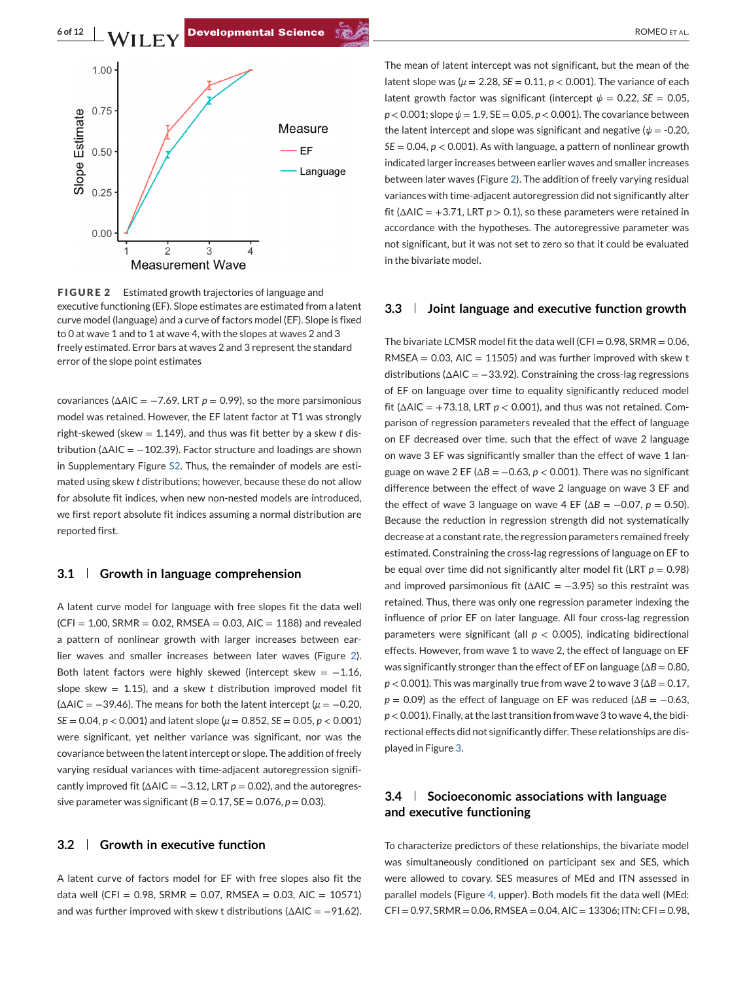**6 of 12** RAZ. ROMEO ET AL. **Developmental Science Contract and Science Contract and Science ROMEO ET AL.** 



**FIGURE 2** Estimated growth trajectories of language and executive functioning (EF). Slope estimates are estimated from a latent curve model (language) and a curve of factors model (EF). Slope is fixed to 0 at wave 1 and to 1 at wave 4, with the slopes at waves 2 and 3 freely estimated. Error bars at waves 2 and 3 represent the standard error of the slope point estimates

covariances ( $\triangle$ AIC =  $-7.69$ , LRT  $p = 0.99$ ), so the more parsimonious model was retained. However, the EF latent factor at T1 was strongly right-skewed (skew = 1.149), and thus was fit better by a skew *t* distribution ( $\Delta$ AIC = -102.39). Factor structure and loadings are shown in Supplementary Figure S2. Thus, the remainder of models are estimated using skew *t* distributions; however, because these do not allow for absolute fit indices, when new non-nested models are introduced, we first report absolute fit indices assuming a normal distribution are reported first.

### **3.1 Growth in language comprehension**

A latent curve model for language with free slopes fit the data well  $(CF1 = 1.00, SRMR = 0.02, RMSEA = 0.03, AIC = 1188)$  and revealed a pattern of nonlinear growth with larger increases between earlier waves and smaller increases between later waves (Figure 2). Both latent factors were highly skewed (intercept skew = −1.16, slope skew  $= 1.15$ ), and a skew *t* distribution improved model fit ( $\triangle$ AIC = -39.46). The means for both the latent intercept ( $\mu$  = -0.20, *SE* = 0.04, *p* < 0.001) and latent slope (*μ* = 0.852, *SE* = 0.05, *p* < 0.001) were significant, yet neither variance was significant, nor was the covariance between the latent intercept or slope. The addition of freely varying residual variances with time-adjacent autoregression significantly improved fit ( $\triangle AIC = -3.12$ , LRT  $p = 0.02$ ), and the autoregressive parameter was significant  $(B = 0.17, SE = 0.076, p = 0.03)$ .

# **3.2 Growth in executive function**

A latent curve of factors model for EF with free slopes also fit the data well (CFI = 0.98, SRMR = 0.07, RMSEA = 0.03, AIC = 10571) and was further improved with skew t distributions ( $\Delta AIC = -91.62$ ).

The mean of latent intercept was not significant, but the mean of the latent slope was ( $\mu = 2.28$ ,  $SE = 0.11$ ,  $p < 0.001$ ). The variance of each latent growth factor was significant (intercept  $\psi = 0.22$ , *SE* = 0.05, *p* < 0.001; slope *ψ* = 1.9, SE = 0.05, *p* < 0.001). The covariance between the latent intercept and slope was significant and negative ( $\psi$  = -0.20,  $SE = 0.04$ ,  $p < 0.001$ ). As with language, a pattern of nonlinear growth indicated larger increases between earlier waves and smaller increases between later waves (Figure 2). The addition of freely varying residual variances with time-adjacent autoregression did not significantly alter fit ( $\triangle$ AIC = +3.71, LRT  $p > 0.1$ ), so these parameters were retained in

accordance with the hypotheses. The autoregressive parameter was not significant, but it was not set to zero so that it could be evaluated in the bivariate model.

# **3.3 Joint language and executive function growth**

The bivariate LCMSR model fit the data well (CFI =  $0.98$ , SRMR =  $0.06$ , RMSEA =  $0.03$ , AIC = 11505) and was further improved with skew t distributions ( $\Delta AIC = -33.92$ ). Constraining the cross-lag regressions of EF on language over time to equality significantly reduced model fit ( $\triangle$ AIC = +73.18, LRT  $p < 0.001$ ), and thus was not retained. Comparison of regression parameters revealed that the effect of language on EF decreased over time, such that the effect of wave 2 language on wave 3 EF was significantly smaller than the effect of wave 1 language on wave 2 EF ( $\Delta B = -0.63$ ,  $p < 0.001$ ). There was no significant difference between the effect of wave 2 language on wave 3 EF and the effect of wave 3 language on wave 4 EF ( $\Delta B = -0.07$ ,  $p = 0.50$ ). Because the reduction in regression strength did not systematically decrease at a constant rate, the regression parameters remained freely estimated. Constraining the cross-lag regressions of language on EF to be equal over time did not significantly alter model fit (LRT *p* = 0.98) and improved parsimonious fit ( $\triangle$ AIC = -3.95) so this restraint was retained. Thus, there was only one regression parameter indexing the influence of prior EF on later language. All four cross-lag regression parameters were significant (all  $p < 0.005$ ), indicating bidirectional effects. However, from wave 1 to wave 2, the effect of language on EF was significantly stronger than the effect of EF on language (Δ*B* = 0.80,  $p < 0.001$ ). This was marginally true from wave 2 to wave 3 ( $\Delta B = 0.17$ ,  $p = 0.09$ ) as the effect of language on EF was reduced ( $\Delta B = -0.63$ , *p* < 0.001). Finally, at the last transition from wave 3 to wave 4, the bidirectional effects did not significantly differ. These relationships are displayed in Figure [3.](#page-6-0)

# **3.4 Socioeconomic associations with language and executive functioning**

To characterize predictors of these relationships, the bivariate model was simultaneously conditioned on participant sex and SES, which were allowed to covary. SES measures of MEd and ITN assessed in parallel models (Figure [4,](#page-7-0) upper). Both models fit the data well (MEd:  $CFI = 0.97$ ,  $SRMR = 0.06$ ,  $RMSEA = 0.04$ ,  $AIC = 13306$ ;  $ITN: CFI = 0.98$ ,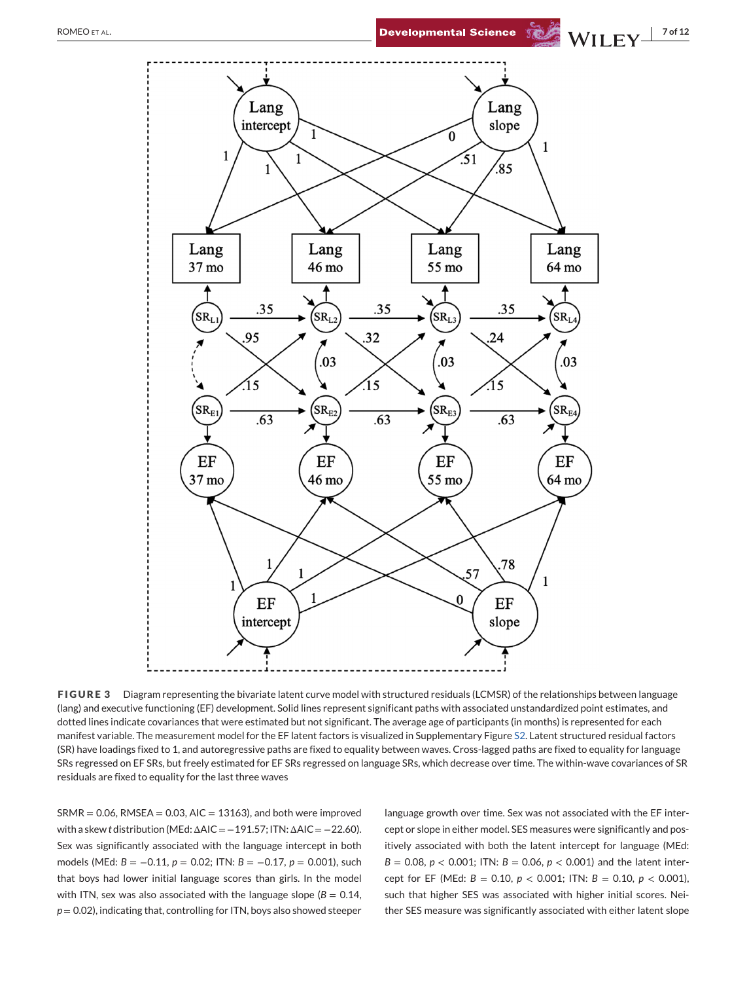<span id="page-6-0"></span>

**FIGURE 3** Diagram representing the bivariate latent curve model with structured residuals (LCMSR) of the relationships between language (lang) and executive functioning (EF) development. Solid lines represent significant paths with associated unstandardized point estimates, and dotted lines indicate covariances that were estimated but not significant. The average age of participants (in months) is represented for each manifest variable. The measurement model for the EF latent factors is visualized in Supplementary Figure S2. Latent structured residual factors (SR) have loadings fixed to 1, and autoregressive paths are fixed to equality between waves. Cross-lagged paths are fixed to equality for language SRs regressed on EF SRs, but freely estimated for EF SRs regressed on language SRs, which decrease over time. The within-wave covariances of SR residuals are fixed to equality for the last three waves

 $SRMR = 0.06$ , RMSEA = 0.03, AIC = 13163), and both were improved with a skew *t* distribution (MEd: ΔAIC = −191.57; ITN: ΔAIC = −22.60). Sex was significantly associated with the language intercept in both models (MEd: *B* = −0.11, *p* = 0.02; ITN: *B* = −0.17, *p* = 0.001), such that boys had lower initial language scores than girls. In the model with ITN, sex was also associated with the language slope ( $B = 0.14$ , *p* = 0.02), indicating that, controlling for ITN, boys also showed steeper

language growth over time. Sex was not associated with the EF intercept or slope in either model. SES measures were significantly and positively associated with both the latent intercept for language (MEd:  $B = 0.08$ ,  $p < 0.001$ ; ITN:  $B = 0.06$ ,  $p < 0.001$ ) and the latent intercept for EF (MEd: *B* = 0.10, *p* < 0.001; ITN: *B* = 0.10, *p* < 0.001), such that higher SES was associated with higher initial scores. Neither SES measure was significantly associated with either latent slope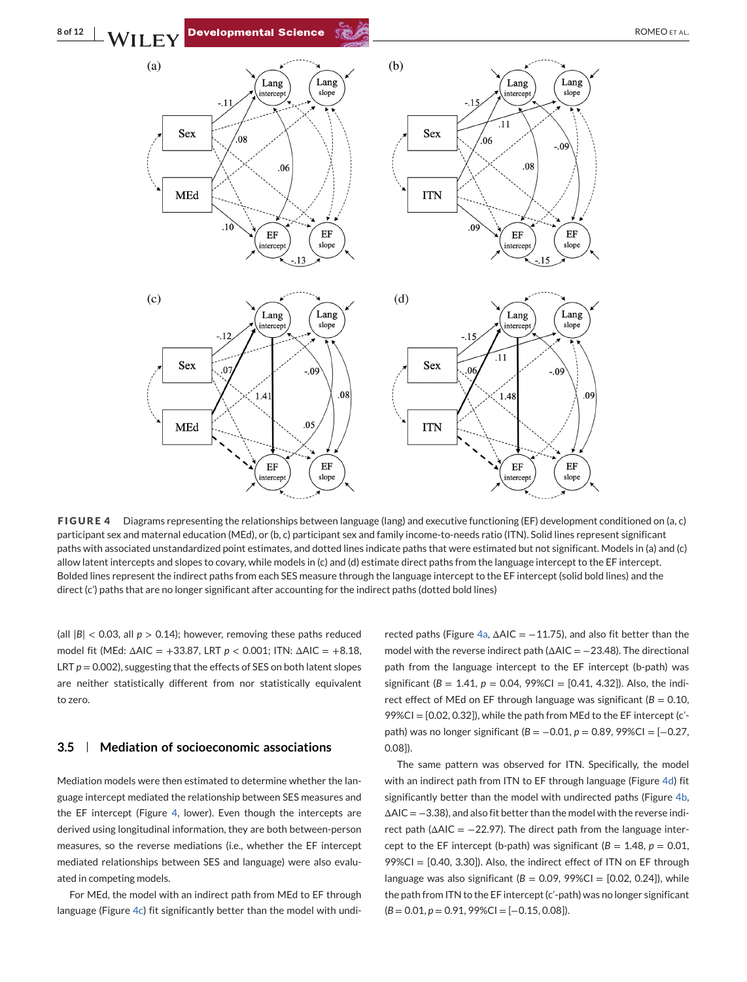<span id="page-7-0"></span>

**FIGURE 4** Diagrams representing the relationships between language (lang) and executive functioning (EF) development conditioned on (a, c) participant sex and maternal education (MEd), or (b, c) participant sex and family income-to-needs ratio (ITN). Solid lines represent significant paths with associated unstandardized point estimates, and dotted lines indicate paths that were estimated but not significant. Models in (a) and (c) allow latent intercepts and slopes to covary, while models in (c) and (d) estimate direct paths from the language intercept to the EF intercept. Bolded lines represent the indirect paths from each SES measure through the language intercept to the EF intercept (solid bold lines) and the direct (c') paths that are no longer significant after accounting for the indirect paths (dotted bold lines)

(all  $|B|$  < 0.03, all  $p > 0.14$ ); however, removing these paths reduced model fit (MEd: ΔAIC = +33.87, LRT *p* < 0.001; ITN: ΔAIC = +8.18, LRT  $p = 0.002$ ), suggesting that the effects of SES on both latent slopes are neither statistically different from nor statistically equivalent to zero.

### **3.5 Mediation of socioeconomic associations**

Mediation models were then estimated to determine whether the language intercept mediated the relationship between SES measures and the EF intercept (Figure 4, lower). Even though the intercepts are derived using longitudinal information, they are both between-person measures, so the reverse mediations (i.e., whether the EF intercept mediated relationships between SES and language) were also evaluated in competing models.

For MEd, the model with an indirect path from MEd to EF through language (Figure 4c) fit significantly better than the model with undi-

rected paths (Figure 4a,  $\Delta AIC = -11.75$ ), and also fit better than the model with the reverse indirect path (ΔAIC = -23.48). The directional path from the language intercept to the EF intercept (b-path) was significant ( $B = 1.41$ ,  $p = 0.04$ , 99%CI = [0.41, 4.32]). Also, the indirect effect of MEd on EF through language was significant ( $B = 0.10$ , 99%CI = [0.02, 0.32]), while the path from MEd to the EF intercept (c' path) was no longer significant (*B* = −0.01, *p* = 0.89, 99%CI = [−0.27, 0.08]).

The same pattern was observed for ITN. Specifically, the model with an indirect path from ITN to EF through language (Figure 4d) fit significantly better than the model with undirected paths (Figure 4b,  $\Delta AIC = -3.38$ ), and also fit better than the model with the reverse indirect path ( $\triangle$ AIC = -22.97). The direct path from the language intercept to the EF intercept (b-path) was significant ( $B = 1.48$ ,  $p = 0.01$ , 99%CI = [0.40, 3.30]). Also, the indirect effect of ITN on EF through language was also significant ( $B = 0.09$ , 99%CI = [0.02, 0.24]), while the path from ITN to the EF intercept (c'-path) was no longer significant (*B* = 0.01, *p* = 0.91, 99%CI = [−0.15, 0.08]).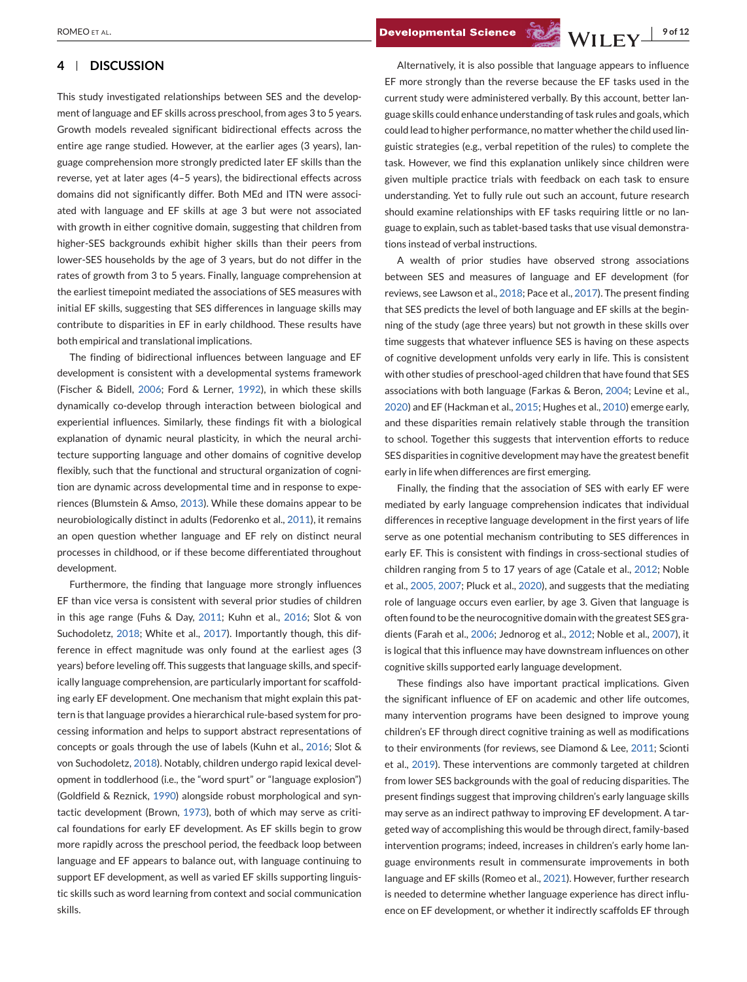## **4 DISCUSSION**

This study investigated relationships between SES and the development of language and EF skills across preschool, from ages 3 to 5 years. Growth models revealed significant bidirectional effects across the entire age range studied. However, at the earlier ages (3 years), language comprehension more strongly predicted later EF skills than the reverse, yet at later ages (4–5 years), the bidirectional effects across domains did not significantly differ. Both MEd and ITN were associated with language and EF skills at age 3 but were not associated with growth in either cognitive domain, suggesting that children from higher-SES backgrounds exhibit higher skills than their peers from lower-SES households by the age of 3 years, but do not differ in the rates of growth from 3 to 5 years. Finally, language comprehension at the earliest timepoint mediated the associations of SES measures with initial EF skills, suggesting that SES differences in language skills may contribute to disparities in EF in early childhood. These results have both empirical and translational implications.

The finding of bidirectional influences between language and EF development is consistent with a developmental systems framework (Fischer & Bidell, [2006;](#page-10-0) Ford & Lerner, [1992\)](#page-10-0), in which these skills dynamically co-develop through interaction between biological and experiential influences. Similarly, these findings fit with a biological explanation of dynamic neural plasticity, in which the neural architecture supporting language and other domains of cognitive develop flexibly, such that the functional and structural organization of cognition are dynamic across developmental time and in response to experiences (Blumstein & Amso, [2013\)](#page-9-0). While these domains appear to be neurobiologically distinct in adults (Fedorenko et al., [2011\)](#page-10-0), it remains an open question whether language and EF rely on distinct neural processes in childhood, or if these become differentiated throughout development.

Furthermore, the finding that language more strongly influences EF than vice versa is consistent with several prior studies of children in this age range (Fuhs & Day, [2011;](#page-10-0) Kuhn et al., [2016;](#page-10-0) Slot & von Suchodoletz, [2018;](#page-11-0) White et al., [2017\)](#page-11-0). Importantly though, this difference in effect magnitude was only found at the earliest ages (3 years) before leveling off. This suggests that language skills, and specifically language comprehension, are particularly important for scaffolding early EF development. One mechanism that might explain this pattern is that language provides a hierarchical rule-based system for processing information and helps to support abstract representations of concepts or goals through the use of labels (Kuhn et al., [2016;](#page-10-0) Slot & von Suchodoletz, [2018\)](#page-11-0). Notably, children undergo rapid lexical development in toddlerhood (i.e., the "word spurt" or "language explosion") (Goldfield & Reznick, [1990\)](#page-10-0) alongside robust morphological and syntactic development (Brown, [1973\)](#page-9-0), both of which may serve as critical foundations for early EF development. As EF skills begin to grow more rapidly across the preschool period, the feedback loop between language and EF appears to balance out, with language continuing to support EF development, as well as varied EF skills supporting linguistic skills such as word learning from context and social communication skills.

Alternatively, it is also possible that language appears to influence EF more strongly than the reverse because the EF tasks used in the current study were administered verbally. By this account, better language skills could enhance understanding of task rules and goals, which could lead to higher performance, no matter whether the child used linguistic strategies (e.g., verbal repetition of the rules) to complete the task. However, we find this explanation unlikely since children were given multiple practice trials with feedback on each task to ensure understanding. Yet to fully rule out such an account, future research should examine relationships with EF tasks requiring little or no language to explain, such as tablet-based tasks that use visual demonstrations instead of verbal instructions.

A wealth of prior studies have observed strong associations between SES and measures of language and EF development (for reviews, see Lawson et al., [2018;](#page-10-0) Pace et al., [2017\)](#page-11-0). The present finding that SES predicts the level of both language and EF skills at the beginning of the study (age three years) but not growth in these skills over time suggests that whatever influence SES is having on these aspects of cognitive development unfolds very early in life. This is consistent with other studies of preschool-aged children that have found that SES associations with both language (Farkas & Beron, [2004;](#page-10-0) Levine et al., [2020\)](#page-10-0) and EF (Hackman et al., [2015;](#page-10-0) Hughes et al., [2010\)](#page-10-0) emerge early, and these disparities remain relatively stable through the transition to school. Together this suggests that intervention efforts to reduce SES disparities in cognitive development may have the greatest benefit early in life when differences are first emerging.

Finally, the finding that the association of SES with early EF were mediated by early language comprehension indicates that individual differences in receptive language development in the first years of life serve as one potential mechanism contributing to SES differences in early EF. This is consistent with findings in cross-sectional studies of children ranging from 5 to 17 years of age (Catale et al., [2012;](#page-9-0) Noble et al., [2005, 2007;](#page-11-0) Pluck et al., [2020\)](#page-11-0), and suggests that the mediating role of language occurs even earlier, by age 3. Given that language is often found to be the neurocognitive domain with the greatest SES gradients (Farah et al., [2006;](#page-10-0) Jednorog et al., [2012;](#page-10-0) Noble et al., [2007\)](#page-11-0), it is logical that this influence may have downstream influences on other cognitive skills supported early language development.

These findings also have important practical implications. Given the significant influence of EF on academic and other life outcomes, many intervention programs have been designed to improve young children's EF through direct cognitive training as well as modifications to their environments (for reviews, see Diamond & Lee, [2011;](#page-10-0) Scionti et al., [2019\)](#page-11-0). These interventions are commonly targeted at children from lower SES backgrounds with the goal of reducing disparities. The present findings suggest that improving children's early language skills may serve as an indirect pathway to improving EF development. A targeted way of accomplishing this would be through direct, family-based intervention programs; indeed, increases in children's early home language environments result in commensurate improvements in both language and EF skills (Romeo et al., [2021\)](#page-11-0). However, further research is needed to determine whether language experience has direct influence on EF development, or whether it indirectly scaffolds EF through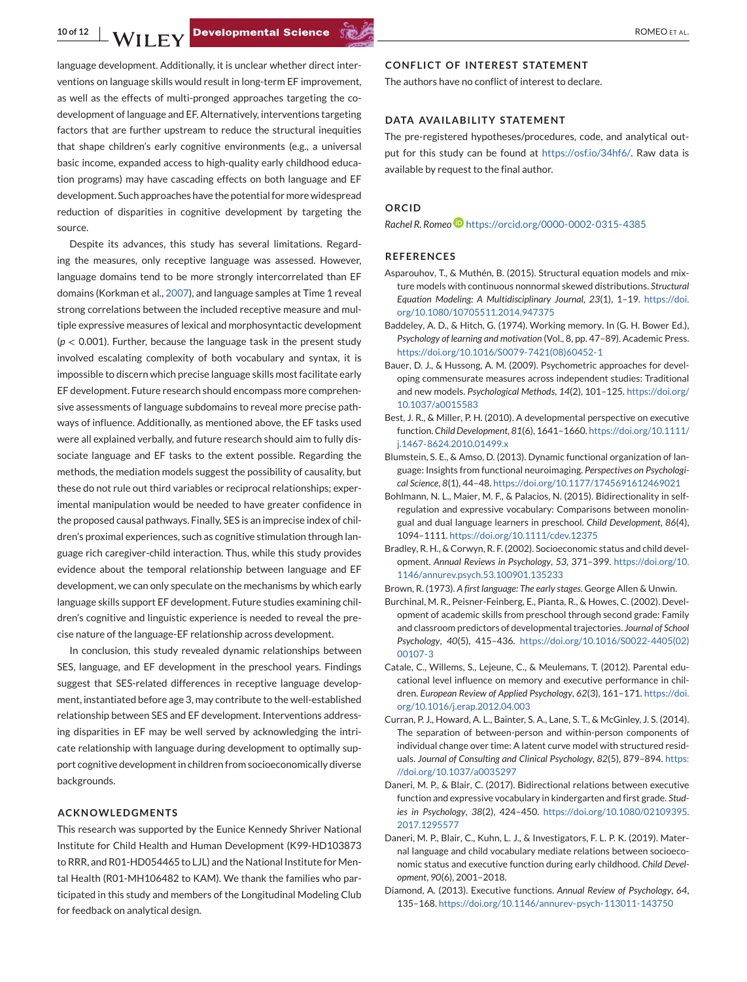<span id="page-9-0"></span>language development. Additionally, it is unclear whether direct interventions on language skills would result in long-term EF improvement, as well as the effects of multi-pronged approaches targeting the codevelopment of language and EF. Alternatively, interventions targeting factors that are further upstream to reduce the structural inequities that shape children's early cognitive environments (e.g., a universal basic income, expanded access to high-quality early childhood education programs) may have cascading effects on both language and EF development. Such approaches have the potential for more widespread reduction of disparities in cognitive development by targeting the source.

Despite its advances, this study has several limitations. Regarding the measures, only receptive language was assessed. However, language domains tend to be more strongly intercorrelated than EF domains (Korkman et al., [2007\)](#page-10-0), and language samples at Time 1 reveal strong correlations between the included receptive measure and multiple expressive measures of lexical and morphosyntactic development (*p* < 0.001). Further, because the language task in the present study involved escalating complexity of both vocabulary and syntax, it is impossible to discern which precise language skills most facilitate early EF development. Future research should encompass more comprehensive assessments of language subdomains to reveal more precise pathways of influence. Additionally, as mentioned above, the EF tasks used were all explained verbally, and future research should aim to fully dissociate language and EF tasks to the extent possible. Regarding the methods, the mediation models suggest the possibility of causality, but these do not rule out third variables or reciprocal relationships; experimental manipulation would be needed to have greater confidence in the proposed causal pathways. Finally, SES is an imprecise index of children's proximal experiences, such as cognitive stimulation through language rich caregiver-child interaction. Thus, while this study provides evidence about the temporal relationship between language and EF development, we can only speculate on the mechanisms by which early language skills support EF development. Future studies examining children's cognitive and linguistic experience is needed to reveal the precise nature of the language-EF relationship across development.

In conclusion, this study revealed dynamic relationships between SES, language, and EF development in the preschool years. Findings suggest that SES-related differences in receptive language development, instantiated before age 3, may contribute to the well-established relationship between SES and EF development. Interventions addressing disparities in EF may be well served by acknowledging the intricate relationship with language during development to optimally support cognitive development in children from socioeconomically diverse backgrounds.

## **ACKNOWLEDGMENTS**

This research was supported by the Eunice Kennedy Shriver National Institute for Child Health and Human Development (K99-HD103873 to RRR, and R01-HD054465 to LJL) and the National Institute for Mental Health (R01-MH106482 to KAM). We thank the families who participated in this study and members of the Longitudinal Modeling Club for feedback on analytical design.

## **CONFLICT OF INTEREST STATEMENT**

The authors have no conflict of interest to declare.

## **DATA AVAILABILITY STATEMENT**

The pre-registered hypotheses/procedures, code, and analytical output for this study can be found at [https://osf.io/34hf6/.](https://osf.io/34hf6/) Raw data is available by request to the final author.

#### **ORCID**

*Rachel R. Rome[o](https://orcid.org/0000-0002-0315-4385)* <https://orcid.org/0000-0002-0315-4385>

#### **REFERENCES**

- Asparouhov, T., & Muthén, B. (2015). Structural equation models and mixture models with continuous nonnormal skewed distributions. *Structural Equation Modeling: A Multidisciplinary Journal*, *23*(1), 1–19. [https://doi.](https://doi.org/10.1080/10705511.2014.947375) [org/10.1080/10705511.2014.947375](https://doi.org/10.1080/10705511.2014.947375)
- Baddeley, A. D., & Hitch, G. (1974). Working memory. In (G. H. Bower Ed.), *Psychology of learning and motivation* (Vol., 8, pp. 47–89). Academic Press. [https://doi.org/10.1016/S0079-7421\(08\)60452-1](https://doi.org/10.1016/S0079-7421(08)60452-1)
- Bauer, D. J., & Hussong, A. M. (2009). Psychometric approaches for developing commensurate measures across independent studies: Traditional and new models. *Psychological Methods*, *14*(2), 101–125. [https://doi.org/](https://doi.org/10.1037/a0015583) [10.1037/a0015583](https://doi.org/10.1037/a0015583)
- Best, J. R., & Miller, P. H. (2010). A developmental perspective on executive function. *Child Development*, *81*(6), 1641–1660. [https://doi.org/10.1111/](https://doi.org/10.1111/j.1467-8624.2010.01499.x) [j.1467-8624.2010.01499.x](https://doi.org/10.1111/j.1467-8624.2010.01499.x)
- Blumstein, S. E., & Amso, D. (2013). Dynamic functional organization of language: Insights from functional neuroimaging. *Perspectives on Psychological Science*, *8*(1), 44–48. <https://doi.org/10.1177/1745691612469021>
- Bohlmann, N. L., Maier, M. F., & Palacios, N. (2015). Bidirectionality in selfregulation and expressive vocabulary: Comparisons between monolingual and dual language learners in preschool. *Child Development*, *86*(4), 1094–1111. <https://doi.org/10.1111/cdev.12375>
- Bradley, R. H., & Corwyn, R. F. (2002). Socioeconomic status and child development. *Annual Reviews in Psychology*, *53*, 371–399. [https://doi.org/10.](https://doi.org/10.1146/annurev.psych.53.100901.135233) [1146/annurev.psych.53.100901.135233](https://doi.org/10.1146/annurev.psych.53.100901.135233)

Brown, R. (1973). *A first language: The early stages*. George Allen & Unwin.

- Burchinal, M. R., Peisner-Feinberg, E., Pianta, R., & Howes, C. (2002). Development of academic skills from preschool through second grade: Family and classroom predictors of developmental trajectories. *Journal of School Psychology*, *40*(5), 415–436. [https://doi.org/10.1016/S0022-4405\(02\)](https://doi.org/10.1016/S0022-4405(02)00107-3) [00107-3](https://doi.org/10.1016/S0022-4405(02)00107-3)
- Catale, C., Willems, S., Lejeune, C., & Meulemans, T. (2012). Parental educational level influence on memory and executive performance in children. *European Review of Applied Psychology*, *62*(3), 161–171. [https://doi.](https://doi.org/10.1016/j.erap.2012.04.003) [org/10.1016/j.erap.2012.04.003](https://doi.org/10.1016/j.erap.2012.04.003)
- Curran, P. J., Howard, A. L., Bainter, S. A., Lane, S. T., & McGinley, J. S. (2014). The separation of between-person and within-person components of individual change over time: A latent curve model with structured residuals. *Journal of Consulting and Clinical Psychology*, *82*(5), 879–894. [https:](https://doi.org/10.1037/a0035297) [//doi.org/10.1037/a0035297](https://doi.org/10.1037/a0035297)
- Daneri, M. P., & Blair, C. (2017). Bidirectional relations between executive function and expressive vocabulary in kindergarten and first grade. *Studies in Psychology*, *38*(2), 424–450. [https://doi.org/10.1080/02109395.](https://doi.org/10.1080/02109395.2017.1295577) [2017.1295577](https://doi.org/10.1080/02109395.2017.1295577)
- Daneri, M. P., Blair, C., Kuhn, L. J., & Investigators, F. L. P. K. (2019). Maternal language and child vocabulary mediate relations between socioeconomic status and executive function during early childhood. *Child Development*, *90*(6), 2001–2018.
- Diamond, A. (2013). Executive functions. *Annual Review of Psychology*, *64*, 135–168. <https://doi.org/10.1146/annurev-psych-113011-143750>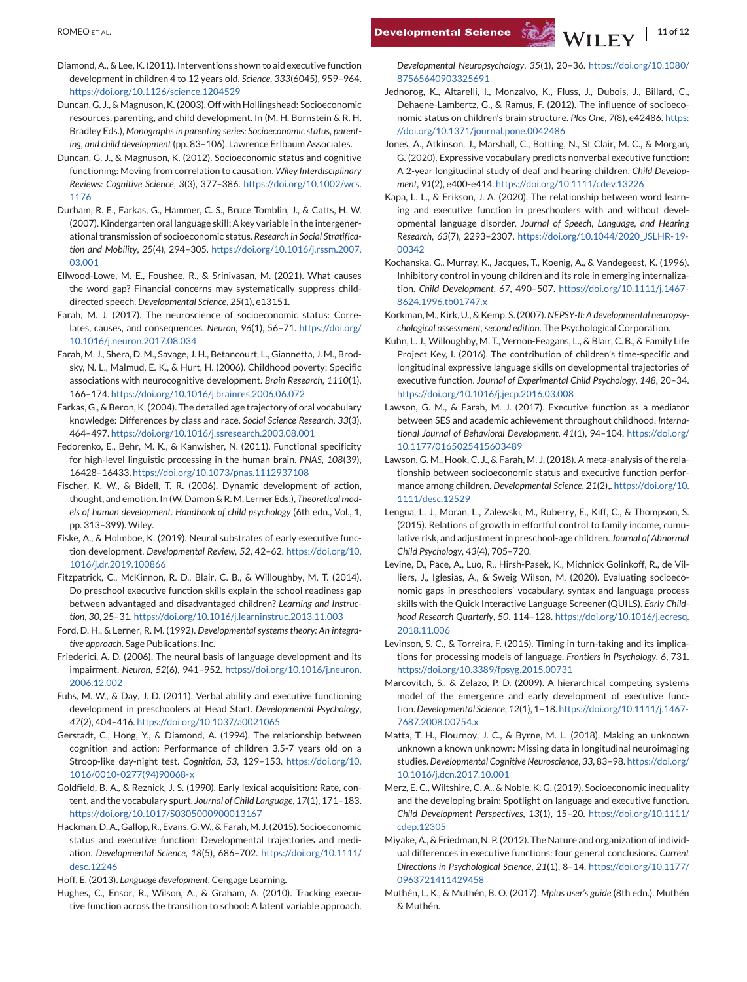- <span id="page-10-0"></span>Diamond, A., & Lee, K. (2011). Interventions shown to aid executive function development in children 4 to 12 years old. *Science*, *333*(6045), 959–964. <https://doi.org/10.1126/science.1204529>
- Duncan, G. J., & Magnuson, K. (2003). Off with Hollingshead: Socioeconomic resources, parenting, and child development. In (M. H. Bornstein & R. H. Bradley Eds.), *Monographs in parenting series: Socioeconomic status, parenting, and child development* (pp. 83–106). Lawrence Erlbaum Associates.
- Duncan, G. J., & Magnuson, K. (2012). Socioeconomic status and cognitive functioning: Moving from correlation to causation. *Wiley Interdisciplinary Reviews: Cognitive Science*, *3*(3), 377–386. [https://doi.org/10.1002/wcs.](https://doi.org/10.1002/wcs.1176) [1176](https://doi.org/10.1002/wcs.1176)
- Durham, R. E., Farkas, G., Hammer, C. S., Bruce Tomblin, J., & Catts, H. W. (2007). Kindergarten oral language skill: A key variable in the intergenerational transmission of socioeconomic status. *Research in Social Stratification and Mobility*, *25*(4), 294–305. [https://doi.org/10.1016/j.rssm.2007.](https://doi.org/10.1016/j.rssm.2007.03.001) [03.001](https://doi.org/10.1016/j.rssm.2007.03.001)
- Ellwood-Lowe, M. E., Foushee, R., & Srinivasan, M. (2021). What causes the word gap? Financial concerns may systematically suppress childdirected speech. *Developmental Science*, *25*(1), e13151.
- Farah, M. J. (2017). The neuroscience of socioeconomic status: Correlates, causes, and consequences. *Neuron*, *96*(1), 56–71. [https://doi.org/](https://doi.org/10.1016/j.neuron.2017.08.034) [10.1016/j.neuron.2017.08.034](https://doi.org/10.1016/j.neuron.2017.08.034)
- Farah, M. J., Shera, D. M., Savage, J. H., Betancourt, L., Giannetta, J. M., Brodsky, N. L., Malmud, E. K., & Hurt, H. (2006). Childhood poverty: Specific associations with neurocognitive development. *Brain Research*, *1110*(1), 166–174. <https://doi.org/10.1016/j.brainres.2006.06.072>
- Farkas, G., & Beron, K. (2004). The detailed age trajectory of oral vocabulary knowledge: Differences by class and race. *Social Science Research*, *33*(3), 464–497. <https://doi.org/10.1016/j.ssresearch.2003.08.001>
- Fedorenko, E., Behr, M. K., & Kanwisher, N. (2011). Functional specificity for high-level linguistic processing in the human brain. *PNAS*, *108*(39), 16428–16433. <https://doi.org/10.1073/pnas.1112937108>
- Fischer, K. W., & Bidell, T. R. (2006). Dynamic development of action, thought, and emotion. In (W. Damon & R. M. Lerner Eds.), *Theoretical models of human development. Handbook of child psychology* (6th edn., Vol., 1, pp. 313–399). Wiley.
- Fiske, A., & Holmboe, K. (2019). Neural substrates of early executive function development. *Developmental Review*, *52*, 42–62. [https://doi.org/10.](https://doi.org/10.1016/j.dr.2019.100866) [1016/j.dr.2019.100866](https://doi.org/10.1016/j.dr.2019.100866)
- Fitzpatrick, C., McKinnon, R. D., Blair, C. B., & Willoughby, M. T. (2014). Do preschool executive function skills explain the school readiness gap between advantaged and disadvantaged children? *Learning and Instruction*, *30*, 25–31. <https://doi.org/10.1016/j.learninstruc.2013.11.003>
- Ford, D. H., & Lerner, R. M. (1992). *Developmental systems theory: An integrative approach*. Sage Publications, Inc.
- Friederici, A. D. (2006). The neural basis of language development and its impairment. *Neuron*, *52*(6), 941–952. [https://doi.org/10.1016/j.neuron.](https://doi.org/10.1016/j.neuron.2006.12.002) [2006.12.002](https://doi.org/10.1016/j.neuron.2006.12.002)
- Fuhs, M. W., & Day, J. D. (2011). Verbal ability and executive functioning development in preschoolers at Head Start. *Developmental Psychology*, *47*(2), 404–416. <https://doi.org/10.1037/a0021065>
- Gerstadt, C., Hong, Y., & Diamond, A. (1994). The relationship between cognition and action: Performance of children 3.5-7 years old on a Stroop-like day-night test. *Cognition*, *53*, 129–153. [https://doi.org/10.](https://doi.org/10.1016/0010-0277(94)90068-x) [1016/0010-0277\(94\)90068-x](https://doi.org/10.1016/0010-0277(94)90068-x)
- Goldfield, B. A., & Reznick, J. S. (1990). Early lexical acquisition: Rate, content, and the vocabulary spurt. *Journal of Child Language*, *17*(1), 171–183. <https://doi.org/10.1017/S0305000900013167>
- Hackman, D. A., Gallop, R., Evans, G. W., & Farah, M. J. (2015). Socioeconomic status and executive function: Developmental trajectories and mediation. *Developmental Science*, *18*(5), 686–702. [https://doi.org/10.1111/](https://doi.org/10.1111/desc.12246) [desc.12246](https://doi.org/10.1111/desc.12246)
- Hoff, E. (2013). *Language development*. Cengage Learning.
- Hughes, C., Ensor, R., Wilson, A., & Graham, A. (2010). Tracking executive function across the transition to school: A latent variable approach.

*Developmental Neuropsychology*, *35*(1), 20–36. [https://doi.org/10.1080/](https://doi.org/10.1080/87565640903325691) [87565640903325691](https://doi.org/10.1080/87565640903325691)

- Jednorog, K., Altarelli, I., Monzalvo, K., Fluss, J., Dubois, J., Billard, C., Dehaene-Lambertz, G., & Ramus, F. (2012). The influence of socioeconomic status on children's brain structure. *Plos One*, *7*(8), e42486. [https:](https://doi.org/10.1371/journal.pone.0042486) [//doi.org/10.1371/journal.pone.0042486](https://doi.org/10.1371/journal.pone.0042486)
- Jones, A., Atkinson, J., Marshall, C., Botting, N., St Clair, M. C., & Morgan, G. (2020). Expressive vocabulary predicts nonverbal executive function: A 2-year longitudinal study of deaf and hearing children. *Child Development*, *91*(2), e400-e414. <https://doi.org/10.1111/cdev.13226>
- Kapa, L. L., & Erikson, J. A. (2020). The relationship between word learning and executive function in preschoolers with and without developmental language disorder. *Journal of Speech, Language, and Hearing Research*, *63*(7), 2293–2307. [https://doi.org/10.1044/2020\\_JSLHR-19-](https://doi.org/10.1044/2020_JSLHR-19-00342) [00342](https://doi.org/10.1044/2020_JSLHR-19-00342)
- Kochanska, G., Murray, K., Jacques, T., Koenig, A., & Vandegeest, K. (1996). Inhibitory control in young children and its role in emerging internalization. *Child Development*, *67*, 490–507. [https://doi.org/10.1111/j.1467-](https://doi.org/10.1111/j.1467-8624.1996.tb01747.x) [8624.1996.tb01747.x](https://doi.org/10.1111/j.1467-8624.1996.tb01747.x)
- Korkman, M., Kirk, U., & Kemp, S. (2007).*NEPSY-II: A developmental neuropsychological assessment, second edition*. The Psychological Corporation.
- Kuhn, L. J., Willoughby, M. T., Vernon-Feagans, L., & Blair, C. B., & Family Life Project Key, I. (2016). The contribution of children's time-specific and longitudinal expressive language skills on developmental trajectories of executive function. *Journal of Experimental Child Psychology*, *148*, 20–34. <https://doi.org/10.1016/j.jecp.2016.03.008>
- Lawson, G. M., & Farah, M. J. (2017). Executive function as a mediator between SES and academic achievement throughout childhood. *International Journal of Behavioral Development*, *41*(1), 94–104. [https://doi.org/](https://doi.org/10.1177/0165025415603489) [10.1177/0165025415603489](https://doi.org/10.1177/0165025415603489)
- Lawson, G. M., Hook, C. J., & Farah, M. J. (2018). A meta-analysis of the relationship between socioeconomic status and executive function performance among children. *Developmental Science*, *21*(2),. [https://doi.org/10.](https://doi.org/10.1111/desc.12529) [1111/desc.12529](https://doi.org/10.1111/desc.12529)
- Lengua, L. J., Moran, L., Zalewski, M., Ruberry, E., Kiff, C., & Thompson, S. (2015). Relations of growth in effortful control to family income, cumulative risk, and adjustment in preschool-age children. *Journal of Abnormal Child Psychology*, *43*(4), 705–720.
- Levine, D., Pace, A., Luo, R., Hirsh-Pasek, K., Michnick Golinkoff, R., de Villiers, J., Iglesias, A., & Sweig Wilson, M. (2020). Evaluating socioeconomic gaps in preschoolers' vocabulary, syntax and language process skills with the Quick Interactive Language Screener (QUILS). *Early Childhood Research Quarterly*, *50*, 114–128. [https://doi.org/10.1016/j.ecresq.](https://doi.org/10.1016/j.ecresq.2018.11.006) [2018.11.006](https://doi.org/10.1016/j.ecresq.2018.11.006)
- Levinson, S. C., & Torreira, F. (2015). Timing in turn-taking and its implications for processing models of language. *Frontiers in Psychology*, *6*, 731. <https://doi.org/10.3389/fpsyg.2015.00731>
- Marcovitch, S., & Zelazo, P. D. (2009). A hierarchical competing systems model of the emergence and early development of executive function.*Developmental Science*, *12*(1), 1–18. [https://doi.org/10.1111/j.1467-](https://doi.org/10.1111/j.1467-7687.2008.00754.x) [7687.2008.00754.x](https://doi.org/10.1111/j.1467-7687.2008.00754.x)
- Matta, T. H., Flournoy, J. C., & Byrne, M. L. (2018). Making an unknown unknown a known unknown: Missing data in longitudinal neuroimaging studies.*Developmental Cognitive Neuroscience*, *33*, 83–98. [https://doi.org/](https://doi.org/10.1016/j.dcn.2017.10.001) [10.1016/j.dcn.2017.10.001](https://doi.org/10.1016/j.dcn.2017.10.001)
- Merz, E. C., Wiltshire, C. A., & Noble, K. G. (2019). Socioeconomic inequality and the developing brain: Spotlight on language and executive function. *Child Development Perspectives*, *13*(1), 15–20. [https://doi.org/10.1111/](https://doi.org/10.1111/cdep.12305) [cdep.12305](https://doi.org/10.1111/cdep.12305)
- Miyake, A., & Friedman, N. P. (2012). The Nature and organization of individual differences in executive functions: four general conclusions. *Current Directions in Psychological Science*, *21*(1), 8–14. [https://doi.org/10.1177/](https://doi.org/10.1177/0963721411429458) [0963721411429458](https://doi.org/10.1177/0963721411429458)
- Muthén, L. K., & Muthén, B. O. (2017). *Mplus user's guide* (8th edn.). Muthén & Muthén.